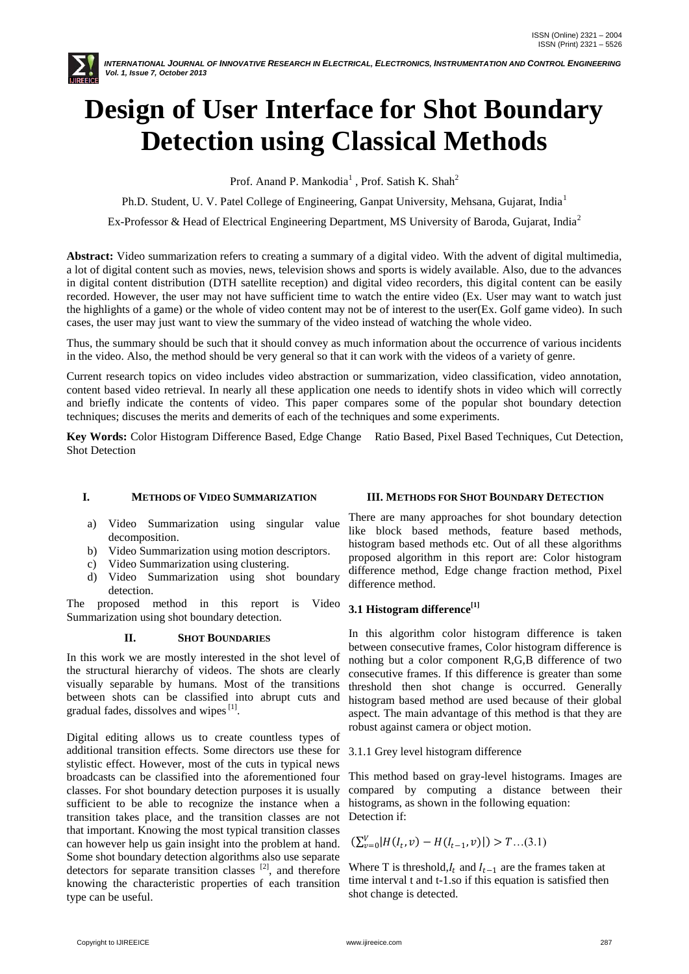

# **Design of User Interface for Shot Boundary Detection using Classical Methods**

Prof. Anand P. Mankodia<sup>1</sup>, Prof. Satish K. Shah<sup>2</sup>

Ph.D. Student, U. V. Patel College of Engineering, Ganpat University, Mehsana, Gujarat, India<sup>1</sup>

Ex-Professor & Head of Electrical Engineering Department, MS University of Baroda, Gujarat, India<sup>2</sup>

**Abstract:** Video summarization refers to creating a summary of a digital video. With the advent of digital multimedia, a lot of digital content such as movies, news, television shows and sports is widely available. Also, due to the advances in digital content distribution (DTH satellite reception) and digital video recorders, this digital content can be easily recorded. However, the user may not have sufficient time to watch the entire video (Ex. User may want to watch just the highlights of a game) or the whole of video content may not be of interest to the user(Ex. Golf game video). In such cases, the user may just want to view the summary of the video instead of watching the whole video.

Thus, the summary should be such that it should convey as much information about the occurrence of various incidents in the video. Also, the method should be very general so that it can work with the videos of a variety of genre.

Current research topics on video includes video abstraction or summarization, video classification, video annotation, content based video retrieval. In nearly all these application one needs to identify shots in video which will correctly and briefly indicate the contents of video. This paper compares some of the popular shot boundary detection techniques; discuses the merits and demerits of each of the techniques and some experiments.

**Key Words:** Color Histogram Difference Based, Edge Change Ratio Based, Pixel Based Techniques, Cut Detection, Shot Detection

## **I. METHODS OF VIDEO SUMMARIZATION**

- a) Video Summarization using singular value decomposition.
- b) Video Summarization using motion descriptors.
- c) Video Summarization using clustering.
- d) Video Summarization using shot boundary detection.

The proposed method in this report is Video Summarization using shot boundary detection.

## **II. SHOT BOUNDARIES**

In this work we are mostly interested in the shot level of the structural hierarchy of videos. The shots are clearly visually separable by humans. Most of the transitions between shots can be classified into abrupt cuts and gradual fades, dissolves and wipes $^{[1]}$ .

Digital editing allows us to create countless types of additional transition effects. Some directors use these for stylistic effect. However, most of the cuts in typical news broadcasts can be classified into the aforementioned four classes. For shot boundary detection purposes it is usually sufficient to be able to recognize the instance when a transition takes place, and the transition classes are not that important. Knowing the most typical transition classes can however help us gain insight into the problem at hand. Some shot boundary detection algorithms also use separate detectors for separate transition classes  $^{[2]}$ , and therefore knowing the characteristic properties of each transition type can be useful.

#### **III. METHODS FOR SHOT BOUNDARY DETECTION**

There are many approaches for shot boundary detection like block based methods, feature based methods, histogram based methods etc. Out of all these algorithms proposed algorithm in this report are: Color histogram difference method, Edge change fraction method, Pixel difference method.

## **3.1 Histogram difference[1]**

In this algorithm color histogram difference is taken between consecutive frames, Color histogram difference is nothing but a color component R,G,B difference of two consecutive frames. If this difference is greater than some threshold then shot change is occurred. Generally histogram based method are used because of their global aspect. The main advantage of this method is that they are robust against camera or object motion.

## 3.1.1 Grey level histogram difference

This method based on gray-level histograms. Images are compared by computing a distance between their histograms, as shown in the following equation: Detection if:

$$
(\sum_{v=0}^{V} |H(I_t, v) - H(I_{t-1}, v)|) > T...(3.1)
$$

Where T is threshold,  $I_t$  and  $I_{t-1}$  are the frames taken at time interval t and t-1.so if this equation is satisfied then shot change is detected.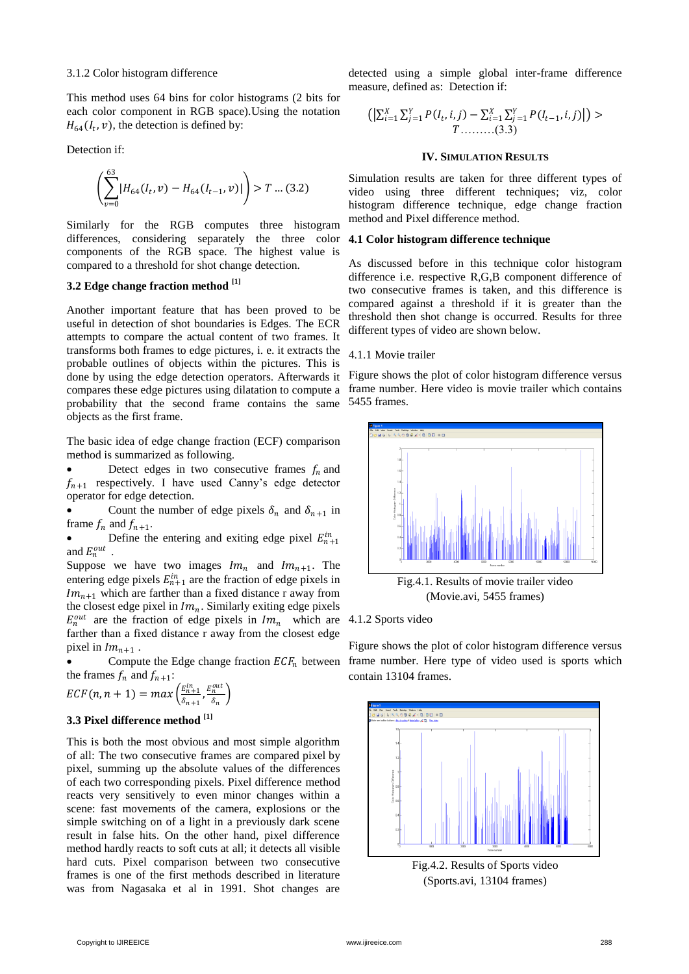#### 3.1.2 Color histogram difference

This method uses 64 bins for color histograms (2 bits for each color component in RGB space).Using the notation  $H_{64}(I_t, v)$ , the detection is defined by:

Detection if:

$$
\left(\sum_{v=0}^{63} |H_{64}(I_t, v) - H_{64}(I_{t-1}, v)|\right) > T \dots (3.2)
$$

Similarly for the RGB computes three histogram differences, considering separately the three color components of the RGB space. The highest value is compared to a threshold for shot change detection.

# **3.2 Edge change fraction method [1]**

Another important feature that has been proved to be useful in detection of shot boundaries is Edges. The ECR attempts to compare the actual content of two frames. It transforms both frames to edge pictures, i. e. it extracts the probable outlines of objects within the pictures. This is done by using the edge detection operators. Afterwards it compares these edge pictures using dilatation to compute a probability that the second frame contains the same objects as the first frame.

The basic idea of edge change fraction (ECF) comparison method is summarized as following.

Detect edges in two consecutive frames  $f_n$  and  $f_{n+1}$  respectively. I have used Canny's edge detector operator for edge detection.

• Count the number of edge pixels  $\delta_n$  and  $\delta_{n+1}$  in frame  $f_n$  and  $f_{n+1}$ .

• Define the entering and exiting edge pixel  $E_{n+1}^{in}$ and  $E_n^{out}$ .

Suppose we have two images  $Im_n$  and  $Im_{n+1}$ . The entering edge pixels  $E_{n+1}^{in}$  are the fraction of edge pixels in  $Im_{n+1}$  which are farther than a fixed distance r away from the closest edge pixel in  $lm_n$ . Similarly exiting edge pixels  $E_n^{out}$  are the fraction of edge pixels in  $Im_n$  which are farther than a fixed distance r away from the closest edge pixel in  $Im_{n+1}$ .

Compute the Edge change fraction  $ECF_n$  between the frames  $f_n$  and  $f_{n+1}$ :

$$
ECF(n, n + 1) = max\left(\frac{E_{n+1}^{in}}{\delta_{n+1}}, \frac{E_n^{out}}{\delta_n}\right)
$$

#### **3.3 Pixel difference method [1]**

This is both the most obvious and most simple algorithm of all: The two consecutive frames are compared pixel by pixel, summing up the absolute values of the differences of each two corresponding pixels. Pixel difference method reacts very sensitively to even minor changes within a scene: fast movements of the camera, explosions or the simple switching on of a light in a previously dark scene result in false hits. On the other hand, pixel difference method hardly reacts to soft cuts at all; it detects all visible hard cuts. Pixel comparison between two consecutive frames is one of the first methods described in literature was from Nagasaka et al in 1991. Shot changes are

detected using a simple global inter-frame difference measure, defined as: Detection if:

$$
\left( \left| \sum_{i=1}^{X} \sum_{j=1}^{Y} P(I_t, i, j) - \sum_{i=1}^{X} \sum_{j=1}^{Y} P(I_{t-1}, i, j) \right| \right) > \n\tag{3.3}
$$

#### **IV. SIMULATION RESULTS**

Simulation results are taken for three different types of video using three different techniques; viz, color histogram difference technique, edge change fraction method and Pixel difference method.

#### **4.1 Color histogram difference technique**

As discussed before in this technique color histogram difference i.e. respective R,G,B component difference of two consecutive frames is taken, and this difference is compared against a threshold if it is greater than the threshold then shot change is occurred. Results for three different types of video are shown below.

#### 4.1.1 Movie trailer

Figure shows the plot of color histogram difference versus frame number. Here video is movie trailer which contains 5455 frames.



(Movie.avi, 5455 frames)

4.1.2 Sports video

Figure shows the plot of color histogram difference versus frame number. Here type of video used is sports which contain 13104 frames.



Fig.4.2. Results of Sports video (Sports.avi, 13104 frames)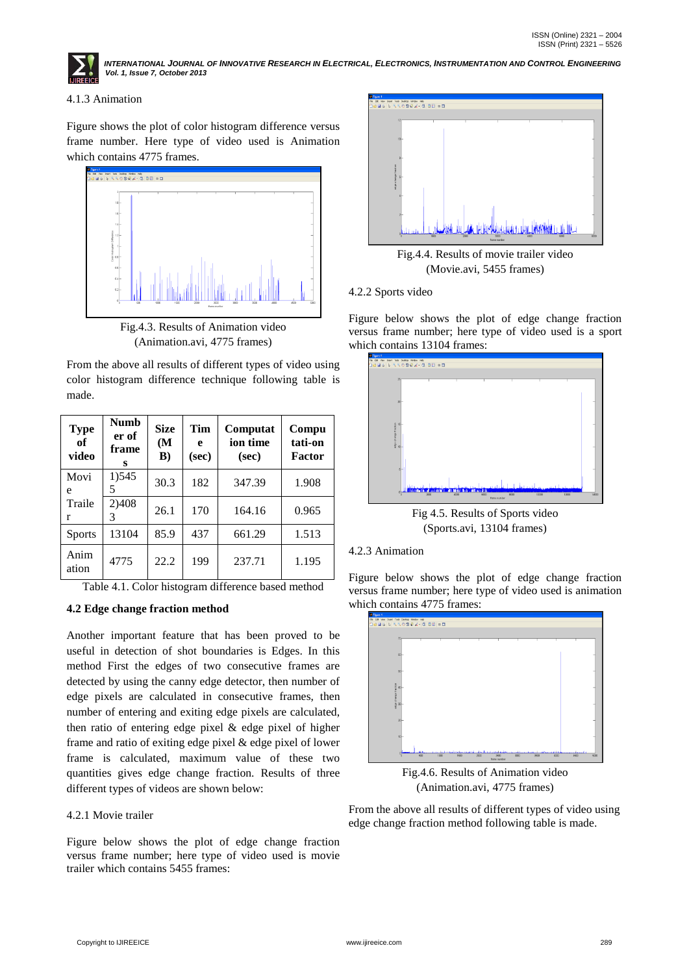

INTERNATIONAL JOURNAL OF INNOVATIVE RESEARCH IN ELECTRICAL, ELECTRONICS, INSTRUMENTATION AND CONTROL ENGINEERING *Vol. 1, Issue 7, October 2013*

## 4.1.3 Animation

Figure shows the plot of color histogram difference versus frame number. Here type of video used is Animation which contains 4775 frames.



Fig.4.3. Results of Animation video (Animation.avi, 4775 frames)

From the above all results of different types of video using color histogram difference technique following table is made.

| <b>Type</b><br>of<br>video | Numb<br>er of<br>frame<br>s | <b>Size</b><br>(M<br>$\bf{B}$ | Tim<br>e<br>(sec) | Computat<br>ion time<br>(sec) | Compu<br>tati-on<br><b>Factor</b> |
|----------------------------|-----------------------------|-------------------------------|-------------------|-------------------------------|-----------------------------------|
| Movi<br>e                  | 1) 545<br>5                 | 30.3                          | 182               | 347.39                        | 1.908                             |
| Traile<br>r                | 2)408                       | 26.1                          | 170               | 164.16                        | 0.965                             |
| <b>Sports</b>              | 13104                       | 85.9                          | 437               | 661.29                        | 1.513                             |
| Anim<br>ation              | 4775                        | 22.2                          | 199               | 237.71                        | 1.195                             |

Table 4.1. Color histogram difference based method

## **4.2 Edge change fraction method**

Another important feature that has been proved to be useful in detection of shot boundaries is Edges. In this method First the edges of two consecutive frames are detected by using the canny edge detector, then number of edge pixels are calculated in consecutive frames, then number of entering and exiting edge pixels are calculated, then ratio of entering edge pixel & edge pixel of higher frame and ratio of exiting edge pixel & edge pixel of lower frame is calculated, maximum value of these two quantities gives edge change fraction. Results of three different types of videos are shown below:

## 4.2.1 Movie trailer

Figure below shows the plot of edge change fraction versus frame number; here type of video used is movie trailer which contains 5455 frames:



Fig.4.4. Results of movie trailer video (Movie.avi, 5455 frames)

## 4.2.2 Sports video

Figure below shows the plot of edge change fraction versus frame number; here type of video used is a sport which contains 13104 frames:



Fig 4.5. Results of Sports video (Sports.avi, 13104 frames)

## 4.2.3 Animation

Figure below shows the plot of edge change fraction versus frame number; here type of video used is animation which contains 4775 frames:



Fig.4.6. Results of Animation video (Animation.avi, 4775 frames)

From the above all results of different types of video using edge change fraction method following table is made.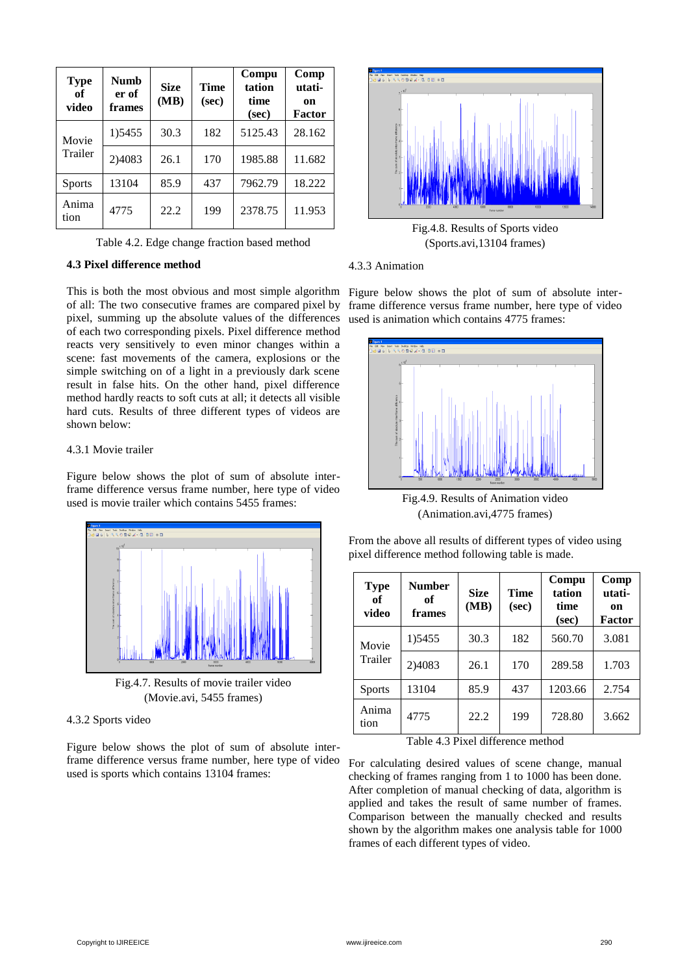| <b>Type</b><br>of<br>video | <b>Numb</b><br>er of<br>frames | <b>Size</b><br>(MB) | <b>Time</b><br>(sec) | Compu<br>tation<br>time<br>(sec) | Comp<br>utati-<br>on<br>Factor |
|----------------------------|--------------------------------|---------------------|----------------------|----------------------------------|--------------------------------|
| Movie                      | 1) 5455                        | 30.3                | 182                  | 5125.43                          | 28.162                         |
| Trailer                    | 2)4083                         | 26.1                | 170                  | 1985.88                          | 11.682                         |
| <b>Sports</b>              | 13104                          | 85.9                | 437                  | 7962.79                          | 18.222                         |
| Anima<br>tion              | 4775                           | 22.2                | 199                  | 2378.75                          | 11.953                         |

Table 4.2. Edge change fraction based method

#### **4.3 Pixel difference method**

This is both the most obvious and most simple algorithm of all: The two consecutive frames are compared pixel by pixel, summing up the absolute values of the differences of each two corresponding pixels. Pixel difference method reacts very sensitively to even minor changes within a scene: fast movements of the camera, explosions or the simple switching on of a light in a previously dark scene result in false hits. On the other hand, pixel difference method hardly reacts to soft cuts at all; it detects all visible hard cuts. Results of three different types of videos are shown below:

#### 4.3.1 Movie trailer

Figure below shows the plot of sum of absolute interframe difference versus frame number, here type of video used is movie trailer which contains 5455 frames:





#### 4.3.2 Sports video

Figure below shows the plot of sum of absolute interframe difference versus frame number, here type of video used is sports which contains 13104 frames:



Fig.4.8. Results of Sports video (Sports.avi,13104 frames)

#### 4.3.3 Animation

Figure below shows the plot of sum of absolute interframe difference versus frame number, here type of video used is animation which contains 4775 frames:



Fig.4.9. Results of Animation video (Animation.avi,4775 frames)

| From the above all results of different types of video using |
|--------------------------------------------------------------|
| pixel difference method following table is made.             |

| <b>Type</b><br>of<br>video | <b>Number</b><br>оf<br>frames | <b>Size</b><br>(MB) | <b>Time</b><br>(sec) | Compu<br>tation<br>time<br>(sec) | Comp<br>utati-<br>on<br>Factor |
|----------------------------|-------------------------------|---------------------|----------------------|----------------------------------|--------------------------------|
| Movie                      | 1) 5455                       | 30.3                | 182                  | 560.70                           | 3.081                          |
| Trailer                    | 2)4083                        | 26.1                | 170                  | 289.58                           | 1.703                          |
| <b>Sports</b>              | 13104                         | 85.9                | 437                  | 1203.66                          | 2.754                          |
| Anima<br>tion              | 4775                          | 22.2                | 199                  | 728.80                           | 3.662                          |

Table 4.3 Pixel difference method

For calculating desired values of scene change, manual checking of frames ranging from 1 to 1000 has been done. After completion of manual checking of data, algorithm is applied and takes the result of same number of frames. Comparison between the manually checked and results shown by the algorithm makes one analysis table for 1000 frames of each different types of video.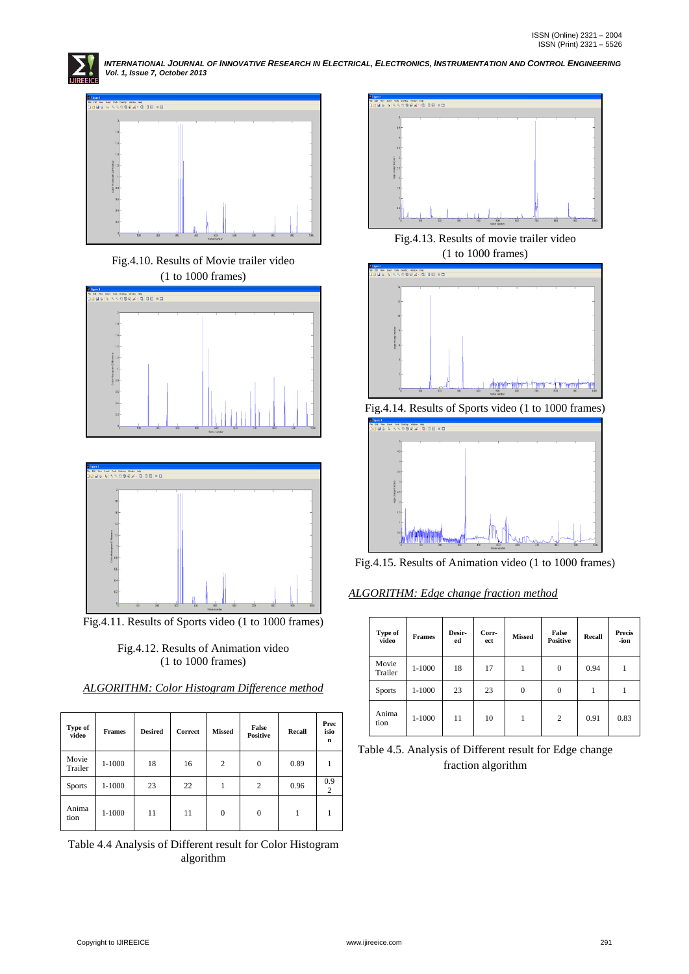

INTERNATIONAL JOURNAL OF INNOVATIVE RESEARCH IN ELECTRICAL, ELECTRONICS, INSTRUMENTATION AND CONTROL ENGINEERING<br>Vol. 1, Issue 7, October 2013



Fig.4.10. Results of Movie trailer video (1 to 1000 frames)





Fig.4.11. Results of Sports video (1 to 1000 frames)

Fig.4.12. Results of Animation video (1 to 1000 frames)

| Type of<br>video | <b>Frames</b> | <b>Desired</b> | Correct | <b>Missed</b> | False<br><b>Positive</b> | Recall | Prec<br>isio<br>$\mathbf n$ |
|------------------|---------------|----------------|---------|---------------|--------------------------|--------|-----------------------------|
| Movie<br>Trailer | $1 - 1000$    | 18             | 16      | 2             | $\Omega$                 | 0.89   |                             |
| <b>Sports</b>    | $1 - 1000$    | 23             | 22      | 1             | 2                        | 0.96   | 0.9<br>2                    |
| Anima<br>tion    | $1 - 1000$    | 11             | 11      | $\theta$      | $\theta$                 |        |                             |

*ALGORITHM: Color Histogram Difference method*

Table 4.4 Analysis of Different result for Color Histogram algorithm



Fig.4.13. Results of movie trailer video (1 to 1000 frames)



Fig.4.14. Results of Sports video (1 to 1000 frames)



Fig.4.15. Results of Animation video (1 to 1000 frames)

*ALGORITHM: Edge change fraction method*

| Type of<br>video | <b>Frames</b> | Desir-<br>ed | Corr-<br>ect | <b>Missed</b>  | False<br><b>Positive</b> | Recall | <b>Precis</b><br>-ion |
|------------------|---------------|--------------|--------------|----------------|--------------------------|--------|-----------------------|
| Movie<br>Trailer | 1-1000        | 18           | 17           |                | $\mathbf{0}$             | 0.94   |                       |
| <b>Sports</b>    | 1-1000        | 23           | 23           | $\overline{0}$ | $\overline{0}$           |        |                       |
| Anima<br>tion    | 1-1000        | 11           | 10           |                | $\overline{2}$           | 0.91   | 0.83                  |

Table 4.5. Analysis of Different result for Edge change fraction algorithm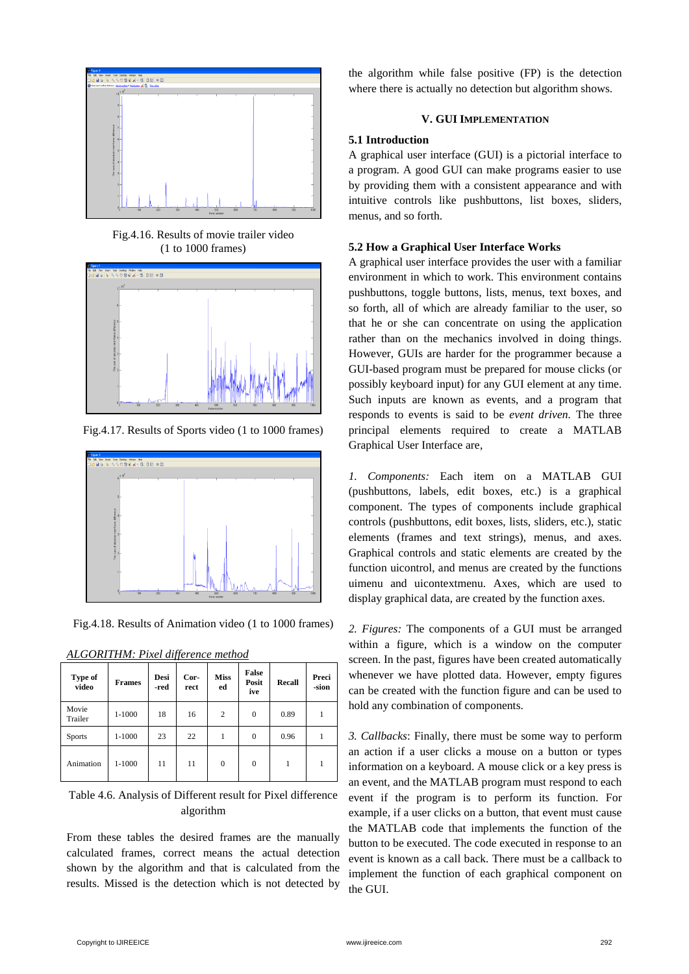

Fig.4.16. Results of movie trailer video (1 to 1000 frames)



Fig.4.17. Results of Sports video (1 to 1000 frames)



Fig.4.18. Results of Animation video (1 to 1000 frames)

| Type of<br>video | <b>Frames</b> | Desi<br>-red | Cor-<br>rect | <b>Miss</b><br>ed | False<br>Posit<br>ive | Recall | Preci<br>-sion |
|------------------|---------------|--------------|--------------|-------------------|-----------------------|--------|----------------|
| Movie<br>Trailer | 1-1000        | 18           | 16           | 2                 | $\mathbf{0}$          | 0.89   |                |
| <b>Sports</b>    | 1-1000        | 23           | 22           |                   | $\mathbf{0}$          | 0.96   |                |
| Animation        | 1-1000        | 11           | 11           | $\mathbf{0}$      | $\overline{0}$        |        |                |

*ALGORITHM: Pixel difference method*

Table 4.6. Analysis of Different result for Pixel difference algorithm

From these tables the desired frames are the manually calculated frames, correct means the actual detection shown by the algorithm and that is calculated from the results. Missed is the detection which is not detected by the algorithm while false positive (FP) is the detection where there is actually no detection but algorithm shows.

## **V. GUI IMPLEMENTATION**

#### **5.1 Introduction**

A graphical user interface (GUI) is a pictorial interface to a program. A good GUI can make programs easier to use by providing them with a consistent appearance and with intuitive controls like pushbuttons, list boxes, sliders, menus, and so forth.

## **5.2 How a Graphical User Interface Works**

A graphical user interface provides the user with a familiar environment in which to work. This environment contains pushbuttons, toggle buttons, lists, menus, text boxes, and so forth, all of which are already familiar to the user, so that he or she can concentrate on using the application rather than on the mechanics involved in doing things. However, GUIs are harder for the programmer because a GUI-based program must be prepared for mouse clicks (or possibly keyboard input) for any GUI element at any time. Such inputs are known as events, and a program that responds to events is said to be *event driven.* The three principal elements required to create a MATLAB Graphical User Interface are,

*1. Components:* Each item on a MATLAB GUI (pushbuttons, labels, edit boxes, etc.) is a graphical component. The types of components include graphical controls (pushbuttons, edit boxes, lists, sliders, etc.), static elements (frames and text strings), menus, and axes. Graphical controls and static elements are created by the function uicontrol, and menus are created by the functions uimenu and uicontextmenu. Axes, which are used to display graphical data, are created by the function axes.

*2. Figures:* The components of a GUI must be arranged within a figure, which is a window on the computer screen. In the past, figures have been created automatically whenever we have plotted data. However, empty figures can be created with the function figure and can be used to hold any combination of components.

*3. Callbacks*: Finally, there must be some way to perform an action if a user clicks a mouse on a button or types information on a keyboard. A mouse click or a key press is an event, and the MATLAB program must respond to each event if the program is to perform its function. For example, if a user clicks on a button, that event must cause the MATLAB code that implements the function of the button to be executed. The code executed in response to an event is known as a call back. There must be a callback to implement the function of each graphical component on the GUI.